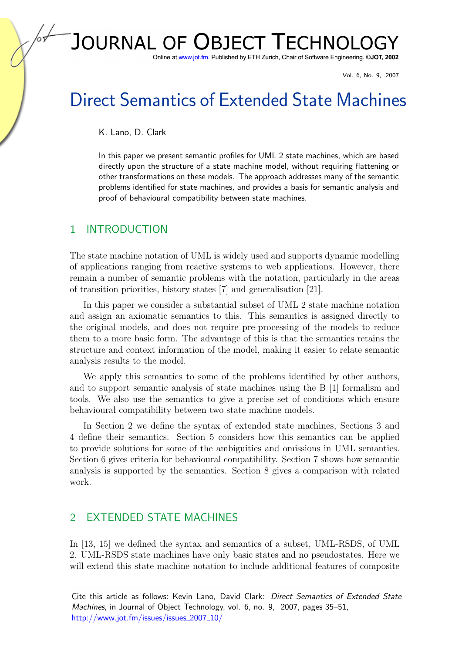## JOURNAL OF **OBJECT TECHNOLG**

Online at www.jot.fm. Published by ETH Zurich, Chair of Software Engineering. ©JOT, 2002

Vol. 6, No. 9, 2007

# Direct Semantics of Extended State Machines

K. Lano, D. Clark

In this paper we present semantic profiles for UML 2 state machines, which are based directly upon the structure of a state machine model, without requiring flattening or other transformations on these models. The approach addresses many of the semantic problems identified for state machines, and provides a basis for semantic analysis and proof of behavioural compatibility between state machines.

## 1 INTRODUCTION

The state machine notation of UML is widely used and supports dynamic modelling of applications ranging from reactive systems to web applications. However, there remain a number of semantic problems with the notation, particularly in the areas of transition priorities, history states [\[7\]](#page-16-0) and generalisation [\[21\]](#page-17-0).

In this paper we consider a substantial subset of UML 2 state machine notation and assign an axiomatic semantics to this. This semantics is assigned directly to the original models, and does not require pre-processing of the models to reduce them to a more basic form. The advantage of this is that the semantics retains the structure and context information of the model, making it easier to relate semantic analysis results to the model.

We apply this semantics to some of the problems identified by other authors, and to support semantic analysis of state machines using the B [\[1\]](#page-16-1) formalism and tools. We also use the semantics to give a precise set of conditions which ensure behavioural compatibility between two state machine models.

In Section [2](#page-0-0) we define the syntax of extended state machines, Sections [3](#page-2-0) and [4](#page-4-0) define their semantics. Section [5](#page-7-0) considers how this semantics can be applied to provide solutions for some of the ambiguities and omissions in UML semantics. Section [6](#page-11-0) gives criteria for behavioural compatibility. Section [7](#page-13-0) shows how semantic analysis is supported by the semantics. Section [8](#page-14-0) gives a comparison with related work.

## <span id="page-0-0"></span>2 EXTENDED STATE MACHINES

In [\[13,](#page-17-1) [15\]](#page-17-2) we defined the syntax and semantics of a subset, UML-RSDS, of UML 2. UML-RSDS state machines have only basic states and no pseudostates. Here we will extend this state machine notation to include additional features of composite

Cite this article as follows: Kevin Lano, David Clark: Direct Semantics of Extended State Machines, in Journal of Object Technology, vol. 6, no. 9, 2007, pages 35–51, [http://www.jot.fm/issues/issues](http://www.jot.fm/issues/issues_2007_10/) 2007 10/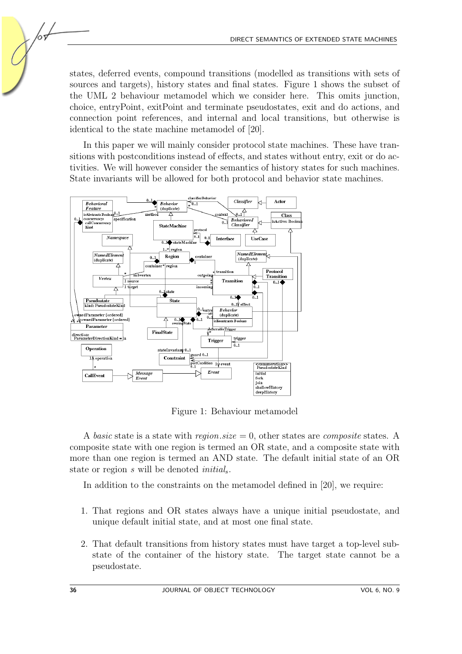states, deferred events, compound transitions (modelled as transitions with sets of sources and targets), history states and final states. Figure [1](#page-1-0) shows the subset of the UML 2 behaviour metamodel which we consider here. This omits junction, choice, entryPoint, exitPoint and terminate pseudostates, exit and do actions, and connection point references, and internal and local transitions, but otherwise is identical to the state machine metamodel of [\[20\]](#page-17-3).

In this paper we will mainly consider protocol state machines. These have transitions with postconditions instead of effects, and states without entry, exit or do activities. We will however consider the semantics of history states for such machines. State invariants will be allowed for both protocol and behavior state machines.



<span id="page-1-0"></span>Figure 1: Behaviour metamodel

A basic state is a state with region.size  $= 0$ , other states are composite states. A composite state with one region is termed an OR state, and a composite state with more than one region is termed an AND state. The default initial state of an OR state or region s will be denoted *initial*<sub>s</sub>.

In addition to the constraints on the metamodel defined in [\[20\]](#page-17-3), we require:

- 1. That regions and OR states always have a unique initial pseudostate, and unique default initial state, and at most one final state.
- 2. That default transitions from history states must have target a top-level substate of the container of the history state. The target state cannot be a pseudostate.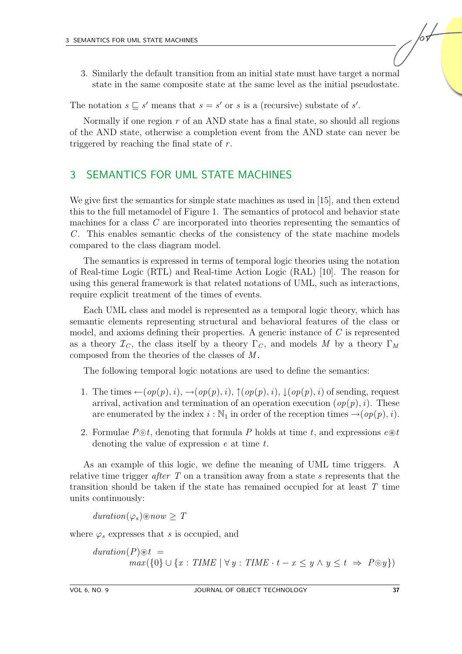3. Similarly the default transition from an initial state must have target a normal state in the same composite state at the same level as the initial pseudostate.

The notation  $s \subseteq s'$  means that  $s = s'$  or s is a (recursive) substate of s'.

Normally if one region  $r$  of an AND state has a final state, so should all regions of the AND state, otherwise a completion event from the AND state can never be triggered by reaching the final state of  $r$ .

## <span id="page-2-0"></span>3 SEMANTICS FOR UML STATE MACHINES

We give first the semantics for simple state machines as used in [\[15\]](#page-17-2), and then extend this to the full metamodel of Figure [1.](#page-1-0) The semantics of protocol and behavior state machines for a class C are incorporated into theories representing the semantics of  $C$ . This enables semantic checks of the consistency of the state machine models compared to the class diagram model.

The semantics is expressed in terms of temporal logic theories using the notation of Real-time Logic (RTL) and Real-time Action Logic (RAL) [\[10\]](#page-16-2). The reason for using this general framework is that related notations of UML, such as interactions, require explicit treatment of the times of events.

Each UML class and model is represented as a temporal logic theory, which has semantic elements representing structural and behavioral features of the class or model, and axioms defining their properties. A generic instance of C is represented as a theory  $\mathcal{I}_C$ , the class itself by a theory  $\Gamma_C$ , and models M by a theory  $\Gamma_M$ composed from the theories of the classes of M .

The following temporal logic notations are used to define the semantics:

- 1. The times  $\leftarrow (op(p), i), \rightarrow (op(p), i), \uparrow (op(p), i), \downarrow (op(p), i)$  of sending, request arrival, activation and termination of an operation execution  $(op(p), i)$ . These are enumerated by the index  $i : \mathbb{N}_1$  in order of the reception times  $\rightarrow (op(p), i)$ .
- 2. Formulae  $P\odot t$ , denoting that formula P holds at time t, and expressions  $e\otimes t$ denoting the value of expression e at time t.

As an example of this logic, we define the meaning of UML time triggers. A relative time trigger after  $T$  on a transition away from a state  $s$  represents that the transition should be taken if the state has remained occupied for at least T time units continuously:

 $duration(\varphi_s) \circledast now \geq T$ 

where  $\varphi_s$  expresses that s is occupied, and

 $duration(P)$  $\otimes t =$  $max({0} \cup {x : TIME \mid \forall y : TIME \cdot t - x \le y \land y \le t \Rightarrow P \odot y})$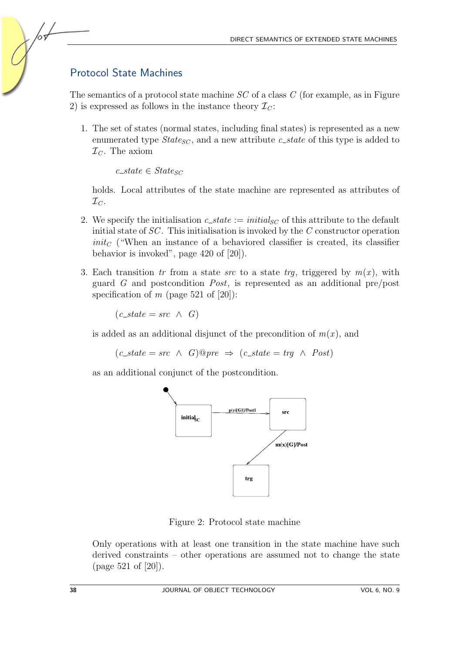## Protocol State Machines

<span id="page-3-1"></span>The semantics of a protocol state machine SC of a class C (for example, as in Figure [2\)](#page-3-0) is expressed as follows in the instance theory  $\mathcal{I}_C$ :

1. The set of states (normal states, including final states) is represented as a new enumerated type  $State_{SC}$ , and a new attribute c\_state of this type is added to  $\mathcal{I}_C$ . The axiom

 $c\_state \in States_C$ 

holds. Local attributes of the state machine are represented as attributes of  $\mathcal{I}_C$ .

- 2. We specify the initialisation  $c\_state := initial_{SC}$  of this attribute to the default initial state of  $SC$ . This initialisation is invoked by the  $C$  constructor operation  $init_{C}$  ("When an instance of a behaviored classifier is created, its classifier behavior is invoked", page 420 of [\[20\]](#page-17-3)).
- 3. Each transition tr from a state src to a state trg, triggered by  $m(x)$ , with guard G and postcondition Post, is represented as an additional pre/post specification of m (page 521 of  $[20]$ ):

 $(c\_state = src \land G)$ 

is added as an additional disjunct of the precondition of  $m(x)$ , and

 $(c_{\text{ }s \text{ } \text{ } s \text{ } \text{ } s \text{ } \text{ } c \text{ } \wedge \text{ } G) \text{ } @ \text{ } pre \Rightarrow (c_{\text{ }s \text{ } \text{ } t \text{ } \text{ } s \text{ } \text{ } \text{ } t \text{ } \text{ } a \text{ } \wedge \text{ } \text{ } Post)$ 

as an additional conjunct of the postcondition.



<span id="page-3-0"></span>Figure 2: Protocol state machine

Only operations with at least one transition in the state machine have such derived constraints – other operations are assumed not to change the state (page 521 of [\[20\]](#page-17-3)).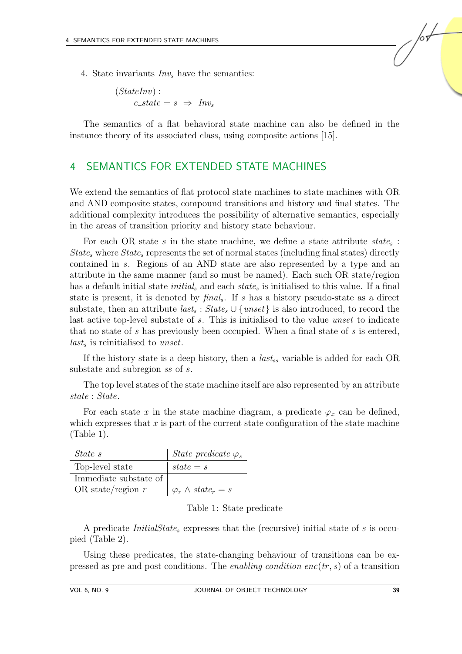4. State invariants  $Inv<sub>s</sub>$  have the semantics:

$$
(StateInv):c\_state = s \Rightarrow Invs
$$

The semantics of a flat behavioral state machine can also be defined in the instance theory of its associated class, using composite actions [\[15\]](#page-17-2).

### <span id="page-4-0"></span>4 SEMANTICS FOR EXTENDED STATE MACHINES

We extend the semantics of flat protocol state machines to state machines with OR and AND composite states, compound transitions and history and final states. The additional complexity introduces the possibility of alternative semantics, especially in the areas of transition priority and history state behaviour.

For each OR state  $s$  in the state machine, we define a state attribute  $state_s$ :  $State_s$  where  $State_s$  represents the set of normal states (including final states) directly contained in s. Regions of an AND state are also represented by a type and an attribute in the same manner (and so must be named). Each such OR state/region has a default initial state  $initial_s$  and each  $state_s$  is initialised to this value. If a final state is present, it is denoted by  $\text{final}_s$ . If s has a history pseudo-state as a direct substate, then an attribute  $\textit{last}_s : \textit{State}_s \cup \{\textit{unset}\}\$ is also introduced, to record the last active top-level substate of s. This is initialised to the value unset to indicate that no state of s has previously been occupied. When a final state of s is entered,  $last<sub>s</sub>$  is reinitialised to unset.

If the history state is a deep history, then a  $last_{ss}$  variable is added for each OR substate and subregion ss of s.

The top level states of the state machine itself are also represented by an attribute state : State.

For each state x in the state machine diagram, a predicate  $\varphi_x$  can be defined, which expresses that  $x$  is part of the current state configuration of the state machine (Table [1\)](#page-4-1).

| State s               | State predicate $\varphi_s$    |
|-----------------------|--------------------------------|
| Top-level state       | $state = s$                    |
| Immediate substate of |                                |
| OR state/region $r$   | $\varphi_r \wedge state_r = s$ |

<span id="page-4-1"></span>Table 1: State predicate

A predicate InitialState<sup>s</sup> expresses that the (recursive) initial state of s is occupied (Table [2\)](#page-5-0).

Using these predicates, the state-changing behaviour of transitions can be expressed as pre and post conditions. The *enabling condition enc*( $tr, s$ ) of a transition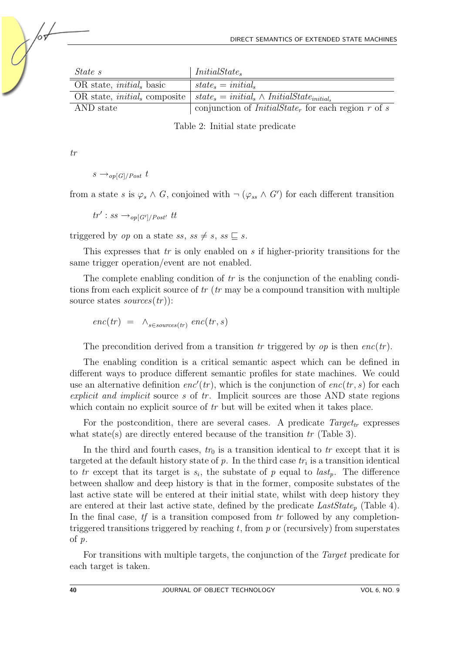| State s                              | $InitialState_s$                                                      |
|--------------------------------------|-----------------------------------------------------------------------|
| OR state, <i>initial</i> , basic     | $state_s = initial_s$                                                 |
| OR state, <i>initial</i> , composite | $state_s = initial_s \wedge InitialState_{initial_s}$                 |
| AND state                            | conjunction of <i>InitialState<sub>r</sub></i> for each region r of s |

<span id="page-5-0"></span>Table 2: Initial state predicate

tr

$$
s \rightarrow_{op[G]/Post} t
$$

from a state s is  $\varphi_s \wedge G$ , conjoined with  $\neg$   $(\varphi_{ss} \wedge G')$  for each different transition

 $tr' : ss \rightarrow_{op[G']/Post'} tt$ 

triggered by op on a state ss, ss  $\neq s$ , ss  $\sqsubseteq s$ .

This expresses that  $tr$  is only enabled on  $s$  if higher-priority transitions for the same trigger operation/event are not enabled.

The complete enabling condition of  $tr$  is the conjunction of the enabling conditions from each explicit source of  $tr$  ( $tr$  may be a compound transition with multiple source states  $sources(tr)$ :

$$
enc(tr) = \wedge_{s \in sources(tr)} enc(tr, s)
$$

The precondition derived from a transition tr triggered by  $op$  is then  $enc(tr)$ .

The enabling condition is a critical semantic aspect which can be defined in different ways to produce different semantic profiles for state machines. We could use an alternative definition  $enc'(tr)$ , which is the conjunction of  $enc(tr, s)$  for each explicit and implicit source s of  $tr$ . Implicit sources are those AND state regions which contain no explicit source of tr but will be exited when it takes place.

For the postcondition, there are several cases. A predicate  $Target_{tr}$  expresses what state(s) are directly entered because of the transition  $tr$  (Table [3\)](#page-6-0).

In the third and fourth cases,  $tr_0$  is a transition identical to  $tr$  except that it is targeted at the default history state of  $p$ . In the third case  $tr_i$  is a transition identical to tr except that its target is  $s_i$ , the substate of p equal to  $last_p$ . The difference between shallow and deep history is that in the former, composite substates of the last active state will be entered at their initial state, whilst with deep history they are entered at their last active state, defined by the predicate  $LastState_p$  (Table [4\)](#page-6-1). In the final case,  $tf$  is a transition composed from  $tr$  followed by any completiontriggered transitions triggered by reaching  $t$ , from  $p$  or (recursively) from superstates of p.

For transitions with multiple targets, the conjunction of the Target predicate for each target is taken.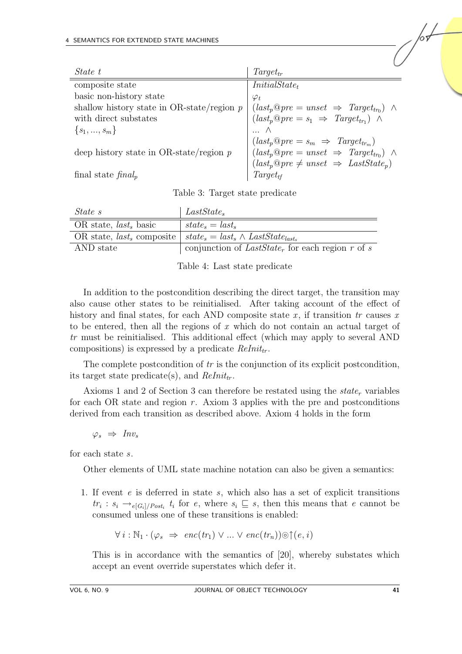| State t                                                                                                                                                                                                                    | $Target_{tr}$                                             |
|----------------------------------------------------------------------------------------------------------------------------------------------------------------------------------------------------------------------------|-----------------------------------------------------------|
| composite state                                                                                                                                                                                                            | $InitialState_t$                                          |
| basic non-history state                                                                                                                                                                                                    | $\varphi_t$                                               |
|                                                                                                                                                                                                                            |                                                           |
| shallow history state in OR-state/region $p \mid (last_{p} \mathbb{Q} pre = unset \Rightarrow Target_{tr_{0}}) \land$<br>with direct substates $\left( last_{p} \mathbb{Q} pre = s_{1} \Rightarrow Target_{tr_{1}}) \land$ |                                                           |
| $\{s_1, , s_m\}$                                                                                                                                                                                                           |                                                           |
|                                                                                                                                                                                                                            | $(last_p \mathbb{Q} pre = s_m \Rightarrow Target_{tr_m})$ |
| deep history state in OR-state/region $p$                                                                                                                                                                                  | $(last_p@pre = unset \Rightarrow Target_{tr_0}) \wedge$   |
|                                                                                                                                                                                                                            | $(last_p@pre \neq unset \Rightarrow LastState_p)$         |
| final state $\text{final}_p$                                                                                                                                                                                               | $Target_{tf}$                                             |

<span id="page-6-0"></span>

|  |  |  | Table 3: Target state predicate |
|--|--|--|---------------------------------|
|--|--|--|---------------------------------|

| State s                  | $LastState_s$                                                                         |
|--------------------------|---------------------------------------------------------------------------------------|
| OR state, $last_s$ basic | $state_{s} = last_{s}$                                                                |
|                          | OR state, last, composite $\vert$ state, $=$ last, $\wedge$ LastState <sub>last</sub> |
| AND state                | conjunction of $LastState_r$ for each region r of s                                   |

<span id="page-6-1"></span>Table 4: Last state predicate

In addition to the postcondition describing the direct target, the transition may also cause other states to be reinitialised. After taking account of the effect of history and final states, for each AND composite state x, if transition tr causes x to be entered, then all the regions of  $x$  which do not contain an actual target of tr must be reinitialised. This additional effect (which may apply to several AND compositions) is expressed by a predicate  $ReInit_{tr}$ .

The complete postcondition of tr is the conjunction of its explicit postcondition, its target state predicate(s), and  $ReInit_{tr}$ .

Axioms 1 and 2 of Section [3](#page-3-1) can therefore be restated using the  $state<sub>r</sub>$  variables for each OR state and region  $r$ . Axiom 3 applies with the pre and postconditions derived from each transition as described above. Axiom 4 holds in the form

 $\varphi_s \Rightarrow \mathit{Inv}_s$ 

for each state s.

Other elements of UML state machine notation can also be given a semantics:

1. If event e is deferred in state s, which also has a set of explicit transitions  $tr_i : s_i \longrightarrow_{e[G_i]/Post_i} t_i$  for e, where  $s_i \subseteq s$ , then this means that e cannot be consumed unless one of these transitions is enabled:

$$
\forall i : \mathbb{N}_1 \cdot (\varphi_s \Rightarrow \mathit{enc}(tr_1) \lor \dots \lor \mathit{enc}(tr_n)) \odot \uparrow (e, i)
$$

This is in accordance with the semantics of [\[20\]](#page-17-3), whereby substates which accept an event override superstates which defer it.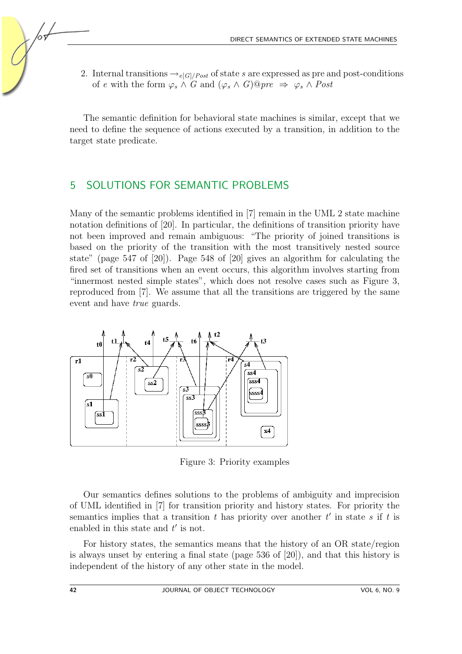2. Internal transitions  $\rightarrow e_{[G]/Post}$  of state s are expressed as pre and post-conditions of e with the form  $\varphi_s \wedge G$  and  $(\varphi_s \wedge G) @ pre \Rightarrow \varphi_s \wedge Post$ 

The semantic definition for behavioral state machines is similar, except that we need to define the sequence of actions executed by a transition, in addition to the target state predicate.

### <span id="page-7-0"></span>5 SOLUTIONS FOR SEMANTIC PROBLEMS

Many of the semantic problems identified in [\[7\]](#page-16-0) remain in the UML 2 state machine notation definitions of [\[20\]](#page-17-3). In particular, the definitions of transition priority have not been improved and remain ambiguous: "The priority of joined transitions is based on the priority of the transition with the most transitively nested source state" (page 547 of [\[20\]](#page-17-3)). Page 548 of [\[20\]](#page-17-3) gives an algorithm for calculating the fired set of transitions when an event occurs, this algorithm involves starting from "innermost nested simple states", which does not resolve cases such as Figure [3,](#page-7-1) reproduced from [\[7\]](#page-16-0). We assume that all the transitions are triggered by the same event and have true guards.



<span id="page-7-1"></span>Figure 3: Priority examples

Our semantics defines solutions to the problems of ambiguity and imprecision of UML identified in [\[7\]](#page-16-0) for transition priority and history states. For priority the semantics implies that a transition  $t$  has priority over another  $t'$  in state  $s$  if  $t$  is enabled in this state and  $t'$  is not.

For history states, the semantics means that the history of an OR state/region is always unset by entering a final state (page 536 of [\[20\]](#page-17-3)), and that this history is independent of the history of any other state in the model.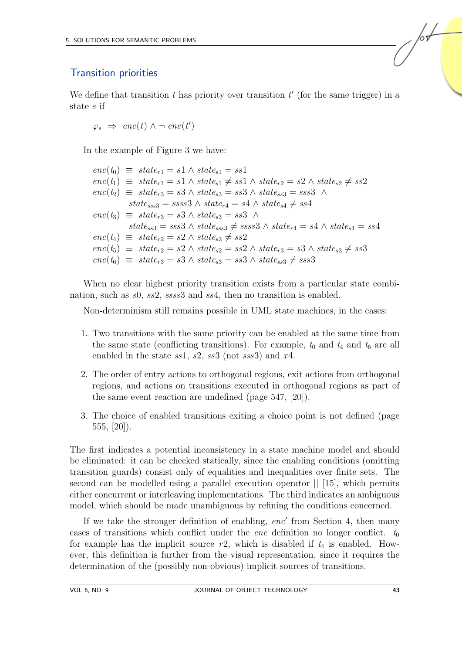#### Transition priorities

We define that transition  $t$  has priority over transition  $t'$  (for the same trigger) in a state s if

 $\varphi_s \Rightarrow \mathit{enc}(t) \land \neg \mathit{enc}(t')$ 

In the example of Figure [3](#page-7-1) we have:

 $enc(t_0) \equiv state_{r1} = s1 \wedge state_{s1} = ss1$  $enc(t_1) \equiv state_{r1} = s1 \wedge state_{s1} \neq ss1 \wedge state_{r2} = s2 \wedge state_{s2} \neq ss2$  $enc(t_2) \equiv state_{r3} = s3 \wedge state_{s3} = ss3 \wedge state_{ss3} = sss3 \wedge$  $state_{ss3} = ssss3 \wedge state_{r4} = s4 \wedge state_{s4} \neq ss4$  $enc(t_3) \equiv state_{r3} = s3 \wedge state_{s3} = ss3 \wedge$  $state_{ss3} = sss3 \land state_{sss3} \neq ssss3 \land state_{r4} = s4 \land state_{s4} = ss4$  $enc(t_4) \equiv state_{r2} = s2 \wedge state_{s2} \neq ss2$  $enc(t_5) \equiv state_{r2} = s2 \wedge state_{s2} = ss2 \wedge state_{r3} = s3 \wedge state_{s3} \neq ss3$  $enc(t_6) \equiv state_{r3} = s3 \wedge state_{s3} = ss3 \wedge state_{ss3} \neq sss3$ 

When no clear highest priority transition exists from a particular state combination, such as s0, ss2, ssss3 and ss4, then no transition is enabled.

Non-determinism still remains possible in UML state machines, in the cases:

- 1. Two transitions with the same priority can be enabled at the same time from the same state (conflicting transitions). For example,  $t_0$  and  $t_4$  and  $t_6$  are all enabled in the state  $ss1$ ,  $s2$ ,  $ss3$  (not  $sss3$ ) and  $x4$ .
- 2. The order of entry actions to orthogonal regions, exit actions from orthogonal regions, and actions on transitions executed in orthogonal regions as part of the same event reaction are undefined (page 547, [\[20\]](#page-17-3)).
- 3. The choice of enabled transitions exiting a choice point is not defined (page  $555, [20]$  $555, [20]$ .

The first indicates a potential inconsistency in a state machine model and should be eliminated: it can be checked statically, since the enabling conditions (omitting transition guards) consist only of equalities and inequalities over finite sets. The second can be modelled using a parallel execution operator || [\[15\]](#page-17-2), which permits either concurrent or interleaving implementations. The third indicates an ambiguous model, which should be made unambiguous by refining the conditions concerned.

If we take the stronger definition of enabling,  $enc'$  from Section [4,](#page-4-0) then many cases of transitions which conflict under the *enc* definition no longer conflict.  $t_0$ for example has the implicit source  $r2$ , which is disabled if  $t_4$  is enabled. However, this definition is further from the visual representation, since it requires the determination of the (possibly non-obvious) implicit sources of transitions.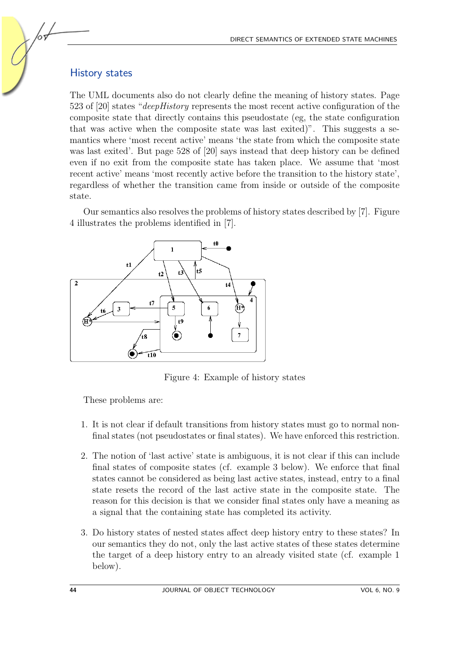#### History states

The UML documents also do not clearly define the meaning of history states. Page 523 of [\[20\]](#page-17-3) states "deepHistory represents the most recent active configuration of the composite state that directly contains this pseudostate (eg, the state configuration that was active when the composite state was last exited)". This suggests a semantics where 'most recent active' means 'the state from which the composite state was last exited'. But page 528 of [\[20\]](#page-17-3) says instead that deep history can be defined even if no exit from the composite state has taken place. We assume that 'most recent active' means 'most recently active before the transition to the history state', regardless of whether the transition came from inside or outside of the composite state.

Our semantics also resolves the problems of history states described by [\[7\]](#page-16-0). Figure [4](#page-9-0) illustrates the problems identified in [\[7\]](#page-16-0).



<span id="page-9-0"></span>Figure 4: Example of history states

These problems are:

- 1. It is not clear if default transitions from history states must go to normal nonfinal states (not pseudostates or final states). We have enforced this restriction.
- 2. The notion of 'last active' state is ambiguous, it is not clear if this can include final states of composite states (cf. example 3 below). We enforce that final states cannot be considered as being last active states, instead, entry to a final state resets the record of the last active state in the composite state. The reason for this decision is that we consider final states only have a meaning as a signal that the containing state has completed its activity.
- 3. Do history states of nested states affect deep history entry to these states? In our semantics they do not, only the last active states of these states determine the target of a deep history entry to an already visited state (cf. example 1 below).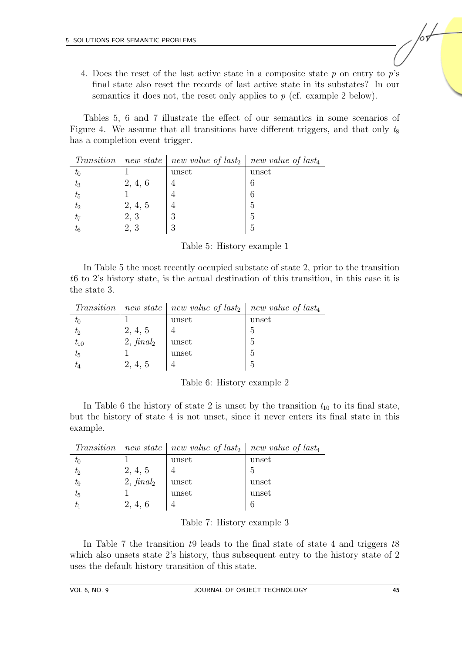4. Does the reset of the last active state in a composite state  $p$  on entry to  $p$ 's final state also reset the records of last active state in its substates? In our semantics it does not, the reset only applies to  $p$  (cf. example 2 below).

Tables [5,](#page-10-0) [6](#page-10-1) and [7](#page-10-2) illustrate the effect of our semantics in some scenarios of Figure [4.](#page-9-0) We assume that all transitions have different triggers, and that only  $t_8$ has a completion event trigger.

|             |         | Transition   new state   new value of last <sub>2</sub>   new value of last <sub>4</sub> |       |
|-------------|---------|------------------------------------------------------------------------------------------|-------|
| $t_{0}$     |         | unset                                                                                    | unset |
| $t_3$       | 2, 4, 6 |                                                                                          |       |
| $t_{5}$     |         |                                                                                          |       |
| $t_2$       | 2, 4, 5 |                                                                                          | 5     |
| $t_7$       | 2, 3    |                                                                                          | 5     |
| $t_{\rm 6}$ |         |                                                                                          |       |

<span id="page-10-0"></span>Table 5: History example 1

In Table [5](#page-10-0) the most recently occupied substate of state 2, prior to the transition t6 to 2's history state, is the actual destination of this transition, in this case it is the state 3.

|           |                     | Transition   new state   new value of last <sub>2</sub>   new value of last <sub>4</sub> |       |
|-----------|---------------------|------------------------------------------------------------------------------------------|-------|
| $\iota_0$ |                     | unset                                                                                    | unset |
| $t_2$     | 2, 4, 5             |                                                                                          |       |
| $t_{10}$  | $2, \text{final}_2$ | unset                                                                                    | 5     |
| $t_5$     |                     | unset                                                                                    | 5     |
|           |                     |                                                                                          |       |

<span id="page-10-1"></span>

| Table 6: History example 2 |
|----------------------------|
|----------------------------|

In Table [6](#page-10-1) the history of state 2 is unset by the transition  $t_{10}$  to its final state, but the history of state 4 is not unset, since it never enters its final state in this example.

|          |                     | Transition   new state   new value of last <sub>2</sub>   new value of last <sub>4</sub> |       |
|----------|---------------------|------------------------------------------------------------------------------------------|-------|
| $\tau_0$ |                     | unset                                                                                    | unset |
| $t_2$    | 2, 4, 5             |                                                                                          |       |
| $t_{9}$  | $2, \text{final}_2$ | unset                                                                                    | unset |
| $t_5$    |                     | unset                                                                                    | unset |
|          |                     |                                                                                          |       |

<span id="page-10-2"></span>Table 7: History example 3

In Table [7](#page-10-2) the transition t9 leads to the final state of state 4 and triggers t8 which also unsets state 2's history, thus subsequent entry to the history state of 2 uses the default history transition of this state.

/or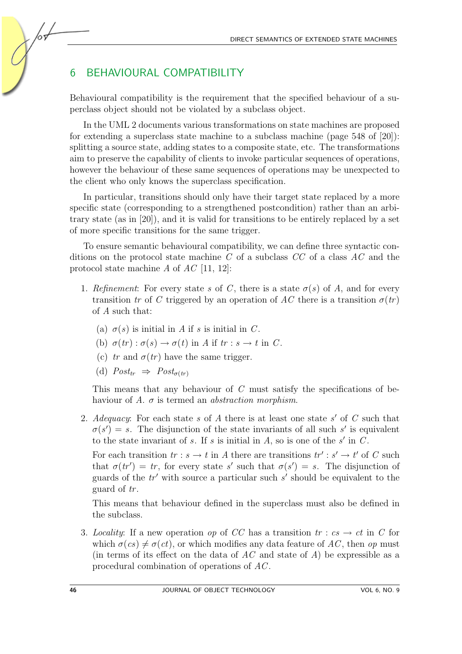## <span id="page-11-0"></span>6 BEHAVIOURAL COMPATIBILITY

Behavioural compatibility is the requirement that the specified behaviour of a superclass object should not be violated by a subclass object.

In the UML 2 documents various transformations on state machines are proposed for extending a superclass state machine to a subclass machine (page  $548$  of  $[20]$ ): splitting a source state, adding states to a composite state, etc. The transformations aim to preserve the capability of clients to invoke particular sequences of operations, however the behaviour of these same sequences of operations may be unexpected to the client who only knows the superclass specification.

In particular, transitions should only have their target state replaced by a more specific state (corresponding to a strengthened postcondition) rather than an arbitrary state (as in [\[20\]](#page-17-3)), and it is valid for transitions to be entirely replaced by a set of more specific transitions for the same trigger.

To ensure semantic behavioural compatibility, we can define three syntactic conditions on the protocol state machine  $C$  of a subclass  $CC$  of a class  $AC$  and the protocol state machine A of  $AC$  [\[11,](#page-17-4) [12\]](#page-17-5):

- 1. Refinement: For every state s of C, there is a state  $\sigma(s)$  of A, and for every transition tr of C triggered by an operation of AC there is a transition  $\sigma(tr)$ of A such that:
	- (a)  $\sigma(s)$  is initial in A if s is initial in C.
	- (b)  $\sigma(tr): \sigma(s) \to \sigma(t)$  in A if  $tr: s \to t$  in C.
	- (c) tr and  $\sigma(tr)$  have the same trigger.
	- (d)  $Post_{tr} \Rightarrow Post_{\sigma(tr)}$

This means that any behaviour of  $C$  must satisfy the specifications of behaviour of A.  $\sigma$  is termed an *abstraction morphism*.

2. Adequacy: For each state s of A there is at least one state  $s'$  of C such that  $\sigma(s') = s$ . The disjunction of the state invariants of all such s' is equivalent to the state invariant of s. If s is initial in  $A$ , so is one of the s' in  $C$ .

For each transition  $tr : s \to t$  in A there are transitions  $tr' : s' \to t'$  of C such that  $\sigma(tr') = tr$ , for every state s' such that  $\sigma(s') = s$ . The disjunction of guards of the  $tr'$  with source a particular such s' should be equivalent to the guard of tr.

This means that behaviour defined in the superclass must also be defined in the subclass.

3. Locality: If a new operation op of CC has a transition  $tr : cs \to ct$  in C for which  $\sigma (cs) \neq \sigma (ct)$ , or which modifies any data feature of AC, then op must (in terms of its effect on the data of  $AC$  and state of A) be expressible as a procedural combination of operations of AC .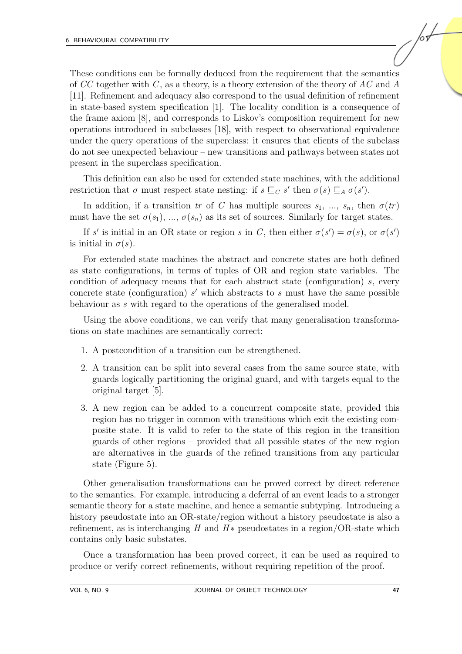These conditions can be formally deduced from the requirement that the semantics of CC together with C, as a theory, is a theory extension of the theory of AC and A [\[11\]](#page-17-4). Refinement and adequacy also correspond to the usual definition of refinement in state-based system specification [\[1\]](#page-16-1). The locality condition is a consequence of the frame axiom [\[8\]](#page-16-3), and corresponds to Liskov's composition requirement for new operations introduced in subclasses [\[18\]](#page-17-6), with respect to observational equivalence under the query operations of the superclass: it ensures that clients of the subclass do not see unexpected behaviour – new transitions and pathways between states not present in the superclass specification.

This definition can also be used for extended state machines, with the additional restriction that  $\sigma$  must respect state nesting: if  $s \sqsubseteq_C s'$  then  $\sigma(s) \sqsubseteq_A \sigma(s')$ .

In addition, if a transition tr of C has multiple sources  $s_1, ..., s_n$ , then  $\sigma(tr)$ must have the set  $\sigma(s_1), \ldots, \sigma(s_n)$  as its set of sources. Similarly for target states.

If s' is initial in an OR state or region s in C, then either  $\sigma(s') = \sigma(s)$ , or  $\sigma(s')$ is initial in  $\sigma(s)$ .

For extended state machines the abstract and concrete states are both defined as state configurations, in terms of tuples of OR and region state variables. The condition of adequacy means that for each abstract state (configuration)  $s$ , every concrete state (configuration)  $s'$  which abstracts to  $s$  must have the same possible behaviour as s with regard to the operations of the generalised model.

Using the above conditions, we can verify that many generalisation transformations on state machines are semantically correct:

- 1. A postcondition of a transition can be strengthened.
- 2. A transition can be split into several cases from the same source state, with guards logically partitioning the original guard, and with targets equal to the original target [\[5\]](#page-16-4).
- 3. A new region can be added to a concurrent composite state, provided this region has no trigger in common with transitions which exit the existing composite state. It is valid to refer to the state of this region in the transition guards of other regions – provided that all possible states of the new region are alternatives in the guards of the refined transitions from any particular state (Figure [5\)](#page-13-1).

Other generalisation transformations can be proved correct by direct reference to the semantics. For example, introducing a deferral of an event leads to a stronger semantic theory for a state machine, and hence a semantic subtyping. Introducing a history pseudostate into an OR-state/region without a history pseudostate is also a refinement, as is interchanging H and  $H*$  pseudostates in a region/OR-state which contains only basic substates.

Once a transformation has been proved correct, it can be used as required to produce or verify correct refinements, without requiring repetition of the proof.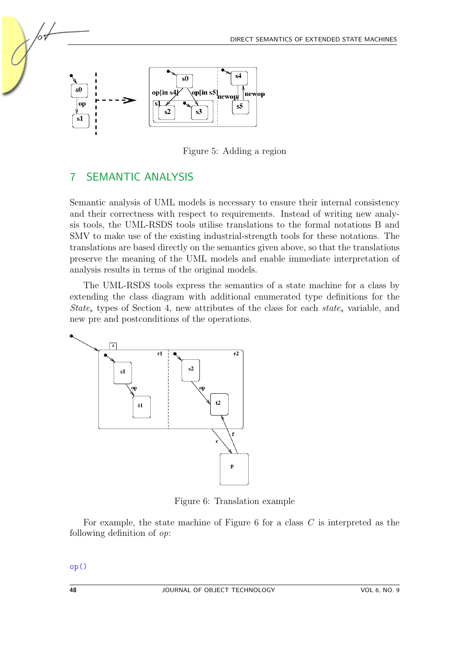

<span id="page-13-1"></span>Figure 5: Adding a region

## <span id="page-13-0"></span>7 SEMANTIC ANALYSIS

Semantic analysis of UML models is necessary to ensure their internal consistency and their correctness with respect to requirements. Instead of writing new analysis tools, the UML-RSDS tools utilise translations to the formal notations B and SMV to make use of the existing industrial-strength tools for these notations. The translations are based directly on the semantics given above, so that the translations preserve the meaning of the UML models and enable immediate interpretation of analysis results in terms of the original models.

The UML-RSDS tools express the semantics of a state machine for a class by extending the class diagram with additional enumerated type definitions for the State<sub>s</sub> types of Section [4,](#page-4-0) new attributes of the class for each state<sub>s</sub> variable, and new pre and postconditions of the operations.



<span id="page-13-2"></span>Figure 6: Translation example

For example, the state machine of Figure  $6$  for a class  $C$  is interpreted as the following definition of op:

op()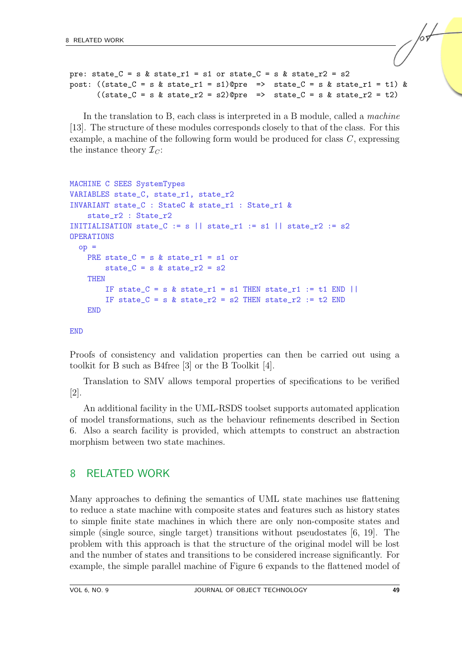```
pre: state_C = s & state_r1 = s1 or state_C = s & state_r2 = s2
post: ((state_C = s \& state_T1 = s1) @pre => state_C = s & state_r1 = t1) &
      ((state_C = s \& state_T2 = s2) (state_c = s \& state_T2 = t2))
```
In the translation to B, each class is interpreted in a B module, called a machine [\[13\]](#page-17-1). The structure of these modules corresponds closely to that of the class. For this example, a machine of the following form would be produced for class  $C$ , expressing the instance theory  $\mathcal{I}_C$ :

```
MACHINE C SEES SystemTypes
VARIABLES state C, state r1, state r2
INVARIANT state_C : StateC & state_r1 : State_r1 &
    state_r2 : State_r2
INITIALISATION state_C := s || state_r1 := s1 || state_r2 := s2
OPERATIONS
  op =PRE state_C = s & state_r1 = s1 or
        state_C = s & state_r2 = s2THEN
        IF state_C = s & state_r1 = s1 THEN state_r1 := t1 END ||
        IF state_C = s & state_r2 = s2 THEN state_r2 := t2 END
    END
```
#### **END**

Proofs of consistency and validation properties can then be carried out using a toolkit for B such as B4free [\[3\]](#page-16-5) or the B Toolkit [\[4\]](#page-16-6).

Translation to SMV allows temporal properties of specifications to be verified [\[2\]](#page-16-7).

An additional facility in the UML-RSDS toolset supports automated application of model transformations, such as the behaviour refinements described in Section [6.](#page-11-0) Also a search facility is provided, which attempts to construct an abstraction morphism between two state machines.

#### <span id="page-14-0"></span>8 RELATED WORK

Many approaches to defining the semantics of UML state machines use flattening to reduce a state machine with composite states and features such as history states to simple finite state machines in which there are only non-composite states and simple (single source, single target) transitions without pseudostates [\[6,](#page-16-8) [19\]](#page-17-7). The problem with this approach is that the structure of the original model will be lost and the number of states and transitions to be considered increase significantly. For example, the simple parallel machine of Figure [6](#page-13-2) expands to the flattened model of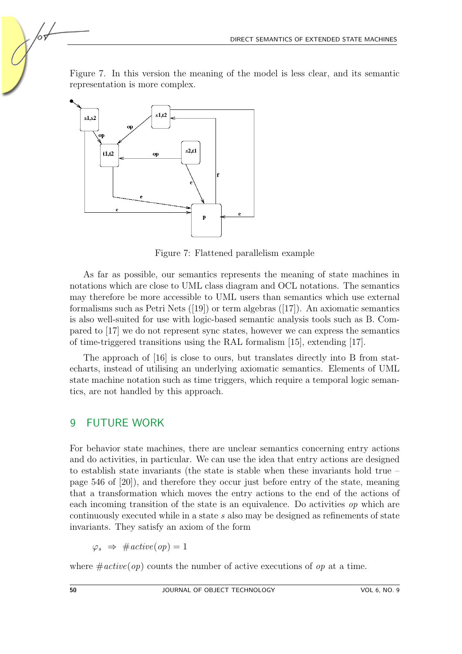Figure [7.](#page-15-0) In this version the meaning of the model is less clear, and its semantic representation is more complex.



<span id="page-15-0"></span>Figure 7: Flattened parallelism example

As far as possible, our semantics represents the meaning of state machines in notations which are close to UML class diagram and OCL notations. The semantics may therefore be more accessible to UML users than semantics which use external formalismssuch as Petri Nets  $(19)$  or term algebras  $(17)$ . An axiomatic semantics is also well-suited for use with logic-based semantic analysis tools such as B. Compared to [\[17\]](#page-17-8) we do not represent sync states, however we can express the semantics of time-triggered transitions using the RAL formalism [\[15\]](#page-17-2), extending [\[17\]](#page-17-8).

The approach of [\[16\]](#page-17-9) is close to ours, but translates directly into B from statecharts, instead of utilising an underlying axiomatic semantics. Elements of UML state machine notation such as time triggers, which require a temporal logic semantics, are not handled by this approach.

## 9 FUTURE WORK

For behavior state machines, there are unclear semantics concerning entry actions and do activities, in particular. We can use the idea that entry actions are designed to establish state invariants (the state is stable when these invariants hold true – page 546 of [\[20\]](#page-17-3)), and therefore they occur just before entry of the state, meaning that a transformation which moves the entry actions to the end of the actions of each incoming transition of the state is an equivalence. Do activities op which are continuously executed while in a state s also may be designed as refinements of state invariants. They satisfy an axiom of the form

 $\varphi_s \Rightarrow \#active(op) = 1$ 

where  $\#active(op)$  counts the number of active executions of op at a time.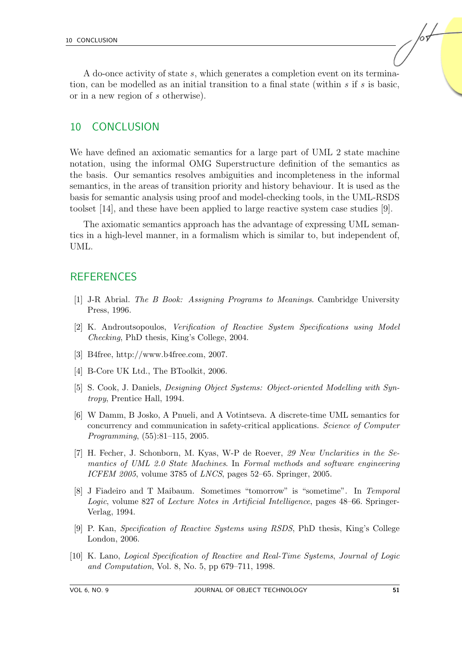A do-once activity of state s, which generates a completion event on its termination, can be modelled as an initial transition to a final state (within  $s$  if  $s$  is basic, or in a new region of s otherwise).

#### 10 CONCLUSION

We have defined an axiomatic semantics for a large part of UML 2 state machine notation, using the informal OMG Superstructure definition of the semantics as the basis. Our semantics resolves ambiguities and incompleteness in the informal semantics, in the areas of transition priority and history behaviour. It is used as the basis for semantic analysis using proof and model-checking tools, in the UML-RSDS toolset [\[14\]](#page-17-10), and these have been applied to large reactive system case studies [\[9\]](#page-16-9).

The axiomatic semantics approach has the advantage of expressing UML semantics in a high-level manner, in a formalism which is similar to, but independent of, UML.

### **REFERENCES**

- <span id="page-16-1"></span>[1] J-R Abrial. The B Book: Assigning Programs to Meanings. Cambridge University Press, 1996.
- <span id="page-16-7"></span>[2] K. Androutsopoulos, Verification of Reactive System Specifications using Model Checking, PhD thesis, King's College, 2004.
- <span id="page-16-5"></span>[3] B4free, http://www.b4free.com, 2007.
- <span id="page-16-6"></span>[4] B-Core UK Ltd., The BToolkit, 2006.
- <span id="page-16-4"></span>[5] S. Cook, J. Daniels, Designing Object Systems: Object-oriented Modelling with Syntropy, Prentice Hall, 1994.
- <span id="page-16-8"></span>[6] W Damm, B Josko, A Pnueli, and A Votintseva. A discrete-time UML semantics for concurrency and communication in safety-critical applications. Science of Computer Programming, (55):81–115, 2005.
- <span id="page-16-0"></span>[7] H. Fecher, J. Schonborn, M. Kyas, W-P de Roever, 29 New Unclarities in the Semantics of UML 2.0 State Machines. In Formal methods and software engineering ICFEM 2005, volume 3785 of LNCS, pages 52–65. Springer, 2005.
- <span id="page-16-3"></span>[8] J Fiadeiro and T Maibaum. Sometimes "tomorrow" is "sometime". In Temporal Logic, volume 827 of Lecture Notes in Artificial Intelligence, pages 48–66. Springer-Verlag, 1994.
- <span id="page-16-9"></span>[9] P. Kan, Specification of Reactive Systems using RSDS, PhD thesis, King's College London, 2006.
- <span id="page-16-2"></span>[10] K. Lano, Logical Specification of Reactive and Real-Time Systems, Journal of Logic and Computation, Vol. 8, No. 5, pp 679–711, 1998.

/sŁ